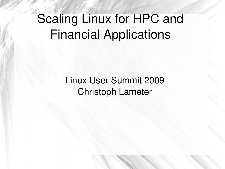# Scaling Linux for HPC and Financial Applications

Linux User Summit 2009 Christoph Lameter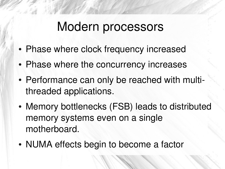## Modern processors

- Phase where clock frequency increased
- Phase where the concurrency increases
- Performance can only be reached with multithreaded applications.
- Memory bottlenecks (FSB) leads to distributed memory systems even on a single motherboard.
- NUMA effects begin to become a factor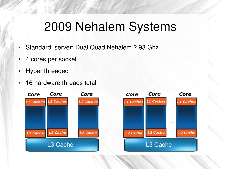# 2009 Nehalem Systems

- Standard server: Dual Quad Nehalem 2.93 Ghz
- 4 cores per socket
- Hyper threaded
- 16 hardware threads total



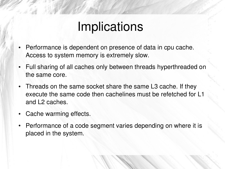### Implications

- Performance is dependent on presence of data in cpu cache. Access to system memory is extremely slow.
- Full sharing of all caches only between threads hyperthreaded on the same core.
- Threads on the same socket share the same L3 cache. If they execute the same code then cachelines must be refetched for L1 and L2 caches.
- Cache warming effects.
- Performance of a code segment varies depending on where it is placed in the system.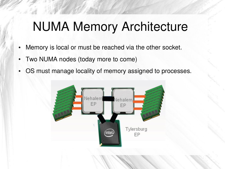# NUMA Memory Architecture

- Memory is local or must be reached via the other socket.
- Two NUMA nodes (today more to come)
- OS must manage locality of memory assigned to processes.

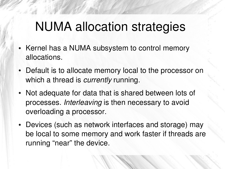# NUMA allocation strategies

- Kernel has a NUMA subsystem to control memory allocations.
- Default is to allocate memory local to the processor on which a thread is *currently* running.
- Not adequate for data that is shared between lots of processes. *Interleaving* is then necessary to avoid overloading a processor.
- Devices (such as network interfaces and storage) may be local to some memory and work faster if threads are running "near" the device.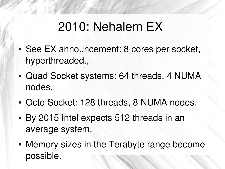# 2010: Nehalem EX

- See EX announcement: 8 cores per socket, hyperthreaded.,
- Quad Socket systems: 64 threads, 4 NUMA nodes.
- Octo Socket: 128 threads, 8 NUMA nodes.
- By 2015 Intel expects 512 threads in an average system.
- Memory sizes in the Terabyte range become possible.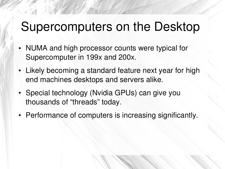## Supercomputers on the Desktop

- NUMA and high processor counts were typical for Supercomputer in 199x and 200x.
- Likely becoming a standard feature next year for high end machines desktops and servers alike.
- Special technology (Nvidia GPUs) can give you thousands of "threads" today.
- Performance of computers is increasing significantly.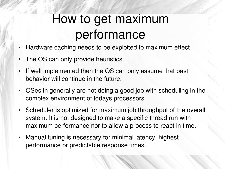# How to get maximum performance

- Hardware caching needs to be exploited to maximum effect.
- The OS can only provide heuristics.
- If well implemented then the OS can only assume that past behavior will continue in the future.
- OSes in generally are not doing a good job with scheduling in the complex environment of todays processors.
- Scheduler is optimized for maximum job throughput of the overall system. It is not designed to make a specific thread run with maximum performance nor to allow a process to react in time.
- Manual tuning is necessary for minimal latency, highest performance or predictable response times.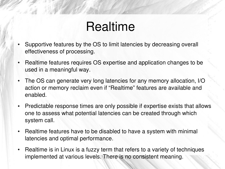## Realtime

- Supportive features by the OS to limit latencies by decreasing overall effectiveness of processing.
- Realtime features requires OS expertise and application changes to be used in a meaningful way.
- The OS can generate very long latencies for any memory allocation, I/O action or memory reclaim even if "Realtime" features are available and enabled.
- Predictable response times are only possible if expertise exists that allows one to assess what potential latencies can be created through which system call.
- Realtime features have to be disabled to have a system with minimal latencies and optimal performance.
- Realtime is in Linux is a fuzzy term that refers to a variety of techniques implemented at various levels. There is no consistent meaning.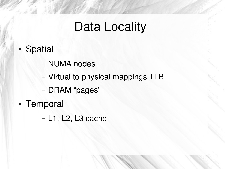# Data Locality

- Spatial
	- NUMA nodes
	- Virtual to physical mappings TLB.
	- DRAM "pages"
- Temporal

– L1, L2, L3 cache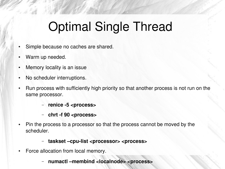# Optimal Single Thread

- Simple because no caches are shared.
- Warm up needed.
- Memory locality is an issue
- No scheduler interruptions.
- Run process with sufficiently high priority so that another process is not run on the same processor.
	- renice -5 <process>
	- chrt -f 90 <process>
- Pin the process to a processor so that the process cannot be moved by the scheduler.

#### – **taskset –cpulist <processor> <process>**

- Force allocation from local memory.
	- **numactl –membind <localnode> <process>**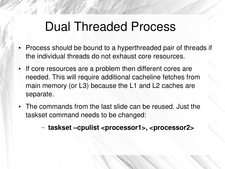#### Dual Threaded Process

- Process should be bound to a hyperthreaded pair of threads if the individual threads do not exhaust core resources.
- If core resources are a problem then different cores are needed. This will require additional cacheline fetches from main memory (or L3) because the L1 and L2 caches are separate.
- The commands from the last slide can be reused. Just the taskset command needs to be changed:

– **taskset –cpulist <processor1>, <processor2>**